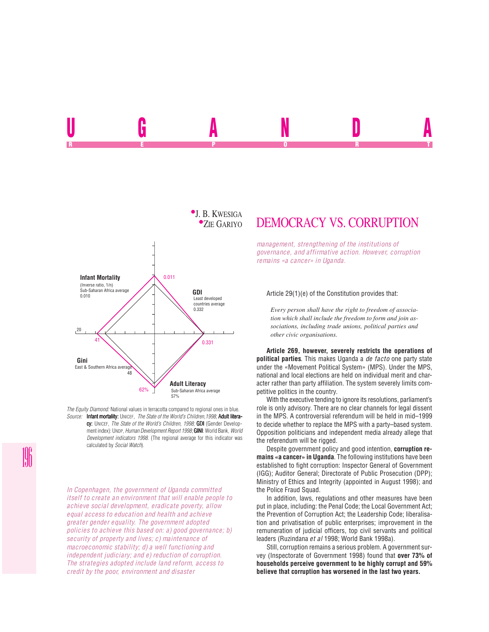

*The Equity Diamond:* National values in terracotta compared to regional ones in blue. *Source:* Infant mortality: UNICEF, *The State of the World's Children,1998*; Adult litera-

cy: UNICEF, *The State of the World's Children, 1998*; **GDI** (Gender Development index): UNDP. *Human Development Report 1998*; **GINI**: World Bank, *World Development indicators 1998*. (The regional average for this indicator was calculated by *Social Watch*).

*In Copenhagen, the government of Uganda committed itself to create an environment that will enable people to achieve social development, eradicate poverty, allow equal access to education and health and achieve greater gender equality. The government adopted policies to achieve this based on: a) good governance; b) security of property and lives; c) maintenance of macroeconomic stability; d) a well functioning and independent judiciary; and e) reduction of corruption. The strategies adopted include land reform, access to credit by the poor, environment and disaster*

# DEMOCRACY VS. CORRUPTION

UGANDA RADIO R REPORT OF STATE REPORT OF STATE REPORT OF STATE REPORT OF STATE REPORT OF STATE REPORT OF STATE REPORT OF STATE REPORT OF STATE REPORT OF STATE REPORT OF STATE REPORT OF STATE REPORT OF STATE REPORT OF STATE REPORT OF STAT

> *management, strengthening of the institutions of governance, and affirmative action. However, corruption remains «a cancer» in Uganda.*

#### Article 29(1)(e) of the Constitution provides that:

*Every person shall have the right to freedom of association which shall include the freedom to form and join associations, including trade unions, political parties and other civic organisations.*

**Article 269, however, severely restricts the operations of political parties**. This makes Uganda a *de facto* one party state under the «Movement Political System» (MPS). Under the MPS, national and local elections are held on individual merit and character rather than party affiliation. The system severely limits competitive politics in the country.

With the executive tending to ignore its resolutions, parliament's role is only advisory. There are no clear channels for legal dissent in the MPS. A controversial referendum will be held in mid–1999 to decide whether to replace the MPS with a party–based system. Opposition politicians and independent media already allege that the referendum will be rigged.

Despite government policy and good intention, **corruption remains «a cancer» in Uganda**. The following institutions have been established to fight corruption: Inspector General of Government (IGG); Auditor General; Directorate of Public Prosecution (DPP); Ministry of Ethics and Integrity (appointed in August 1998); and the Police Fraud Squad.

In addition, laws, regulations and other measures have been put in place, including: the Penal Code; the Local Government Act; the Prevention of Corruption Act; the Leadership Code; liberalisation and privatisation of public enterprises; improvement in the remuneration of judicial officers, top civil servants and political leaders (Ruzindana *et al* 1998; World Bank 1998a).

Still, corruption remains a serious problem. A government survey (Inspectorate of Government 1998) found that **over 73% of households perceive government to be highly corrupt and 59% believe that corruption has worsened in the last two years.**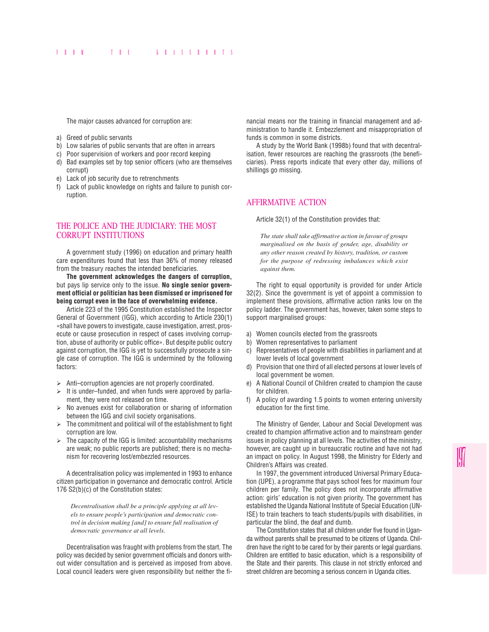The major causes advanced for corruption are:

- a) Greed of public servants
- b) Low salaries of public servants that are often in arrears
- c) Poor supervision of workers and poor record keeping
- d) Bad examples set by top senior officers (who are themselves corrupt)
- e) Lack of job security due to retrenchments
- f) Lack of public knowledge on rights and failure to punish corruption.

## THE POLICE AND THE JUDICIARY: THE MOST CORRUPT INSTITUTIONS

A government study (1996) on education and primary health care expenditures found that less than 36% of money released from the treasury reaches the intended beneficiaries.

**The government acknowledges the dangers of corruption,** but pays lip service only to the issue. **No single senior government official or politician has been dismissed or imprisoned for being corrupt even in the face of overwhelming evidence.**

Article 223 of the 1995 Constitution established the Inspector General of Government (IGG), which according to Article 230(1) «shall have powers to investigate, cause investigation, arrest, prosecute or cause prosecution in respect of cases involving corruption, abuse of authority or public office». But despite public outcry against corruption, the IGG is yet to successfully prosecute a single case of corruption. The IGG is undermined by the following factors:

- $\triangleright$  Anti-corruption agencies are not properly coordinated.
- $\triangleright$  It is under–funded, and when funds were approved by parliament, they were not released on time.
- $\triangleright$  No avenues exist for collaboration or sharing of information between the IGG and civil society organisations.
- $\triangleright$  The commitment and political will of the establishment to fight corruption are low.
- $\geq$  The capacity of the IGG is limited: accountability mechanisms are weak; no public reports are published; there is no mechanism for recovering lost/embezzled resources.

A decentralisation policy was implemented in 1993 to enhance citizen participation in governance and democratic control. Article 176 S2(b)(c) of the Constitution states:

*Decentralisation shall be a principle applying at all levels to ensure people's participation and democratic control in decision making [and] to ensure full realisation of democratic governance at all levels.*

Decentralisation was fraught with problems from the start. The policy was decided by senior government officials and donors without wider consultation and is perceived as imposed from above. Local council leaders were given responsibility but neither the financial means nor the training in financial management and administration to handle it. Embezzlement and misappropriation of funds is common in some districts.

A study by the World Bank (1998b) found that with decentralisation, fewer resources are reaching the grassroots (the beneficiaries). Press reports indicate that every other day, millions of shillings go missing.

## AFFIRMATIVE ACTION

Article 32(1) of the Constitution provides that:

*The state shall take affirmative action in favour of groups marginalised on the basis of gender, age, disability or any other reason created by history, tradition, or custom for the purpose of redressing imbalances which exist against them.*

The right to equal opportunity is provided for under Article 32(2). Since the government is yet of appoint a commission to implement these provisions, affirmative action ranks low on the policy ladder. The government has, however, taken some steps to support marginalised groups:

- a) Women councils elected from the grassroots
- b) Women representatives to parliament
- c) Representatives of people with disabilities in parliament and at lower levels of local government
- Provision that one third of all elected persons at lower levels of local government be women.
- e) A National Council of Children created to champion the cause for children.
- f) A policy of awarding 1.5 points to women entering university education for the first time.

The Ministry of Gender, Labour and Social Development was created to champion affirmative action and to mainstream gender issues in policy planning at all levels. The activities of the ministry, however, are caught up in bureaucratic routine and have not had an impact on policy. In August 1998, the Ministry for Elderly and Children's Affairs was created.

In 1997, the government introduced Universal Primary Education (UPE), a programme that pays school fees for maximum four children per family. The policy does not incorporate affirmative action: girls' education is not given priority. The government has established the Uganda National Institute of Special Education (UN-ISE) to train teachers to teach students/pupils with disabilities, in particular the blind, the deaf and dumb.

The Constitution states that all children under five found in Uganda without parents shall be presumed to be citizens of Uganda. Children have the right to be cared for by their parents or legal guardians. Children are entitled to basic education, which is a responsibility of the State and their parents. This clause in not strictly enforced and street children are becoming a serious concern in Uganda cities.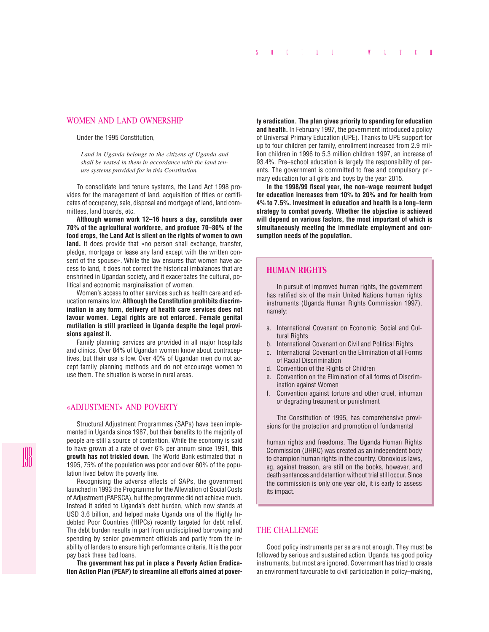### WOMEN AND LAND OWNERSHIP

#### Under the 1995 Constitution,

*Land in Uganda belongs to the citizens of Uganda and shall be vested in them in accordance with the land tenure systems provided for in this Constitution.*

To consolidate land tenure systems, the Land Act 1998 provides for the management of land, acquisition of titles or certificates of occupancy, sale, disposal and mortgage of land, land committees, land boards, etc.

**Although women work 12–16 hours a day, constitute over 70% of the agricultural workforce, and produce 70–80% of the food crops, the Land Act is silent on the rights of women to own land.** It does provide that «no person shall exchange, transfer, pledge, mortgage or lease any land except with the written consent of the spouse». While the law ensures that women have access to land, it does not correct the historical imbalances that are enshrined in Ugandan society, and it exacerbates the cultural, political and economic marginalisation of women.

Women's access to other services such as health care and education remains low. **Although the Constitution prohibits discrimination in any form, delivery of health care services does not favour women. Legal rights are not enforced. Female genital mutilation is still practiced in Uganda despite the legal provisions against it.**

Family planning services are provided in all major hospitals and clinics. Over 84% of Ugandan women know about contraceptives, but their use is low. Over 40% of Ugandan men do not accept family planning methods and do not encourage women to use them. The situation is worse in rural areas.

## «ADJUSTMENT» AND POVERTY

Structural Adjustment Programmes (SAPs) have been implemented in Uganda since 1987, but their benefits to the majority of people are still a source of contention. While the economy is said to have grown at a rate of over 6% per annum since 1991, **this growth has not trickled down**. The World Bank estimated that in 1995, 75% of the population was poor and over 60% of the population lived below the poverty line.

Recognising the adverse effects of SAPs, the government launched in 1993 the Programme for the Alleviation of Social Costs of Adjustment (PAPSCA), but the programme did not achieve much. Instead it added to Uganda's debt burden, which now stands at USD 3.6 billion, and helped make Uganda one of the Highly Indebted Poor Countries (HIPCs) recently targeted for debt relief. The debt burden results in part from undisciplined borrowing and spending by senior government officials and partly from the inability of lenders to ensure high performance criteria. It is the poor pay back these bad loans.

**The government has put in place a Poverty Action Eradication Action Plan (PEAP) to streamline all efforts aimed at pover-** **ty eradication. The plan gives priority to spending for education and health.** In February 1997, the government introduced a policy of Universal Primary Education (UPE). Thanks to UPE support for up to four children per family, enrollment increased from 2.9 million children in 1996 to 5.3 million children 1997, an increase of 93.4%. Pre–school education is largely the responsibility of parents. The government is committed to free and compulsory primary education for all girls and boys by the year 2015.

**In the 1998/99 fiscal year, the non–wage recurrent budget for education increases from 10% to 20% and for health from 4% to 7.5%. Investment in education and health is a long–term strategy to combat poverty. Whether the objective is achieved will depend on various factors, the most important of which is simultaneously meeting the immediate employment and consumption needs of the population.**

## **HUMAN RIGHTS**

In pursuit of improved human rights, the government has ratified six of the main United Nations human rights instruments (Uganda Human Rights Commission 1997), namely:

- a. International Covenant on Economic, Social and Cultural Rights
- b. International Covenant on Civil and Political Rights
- c. International Covenant on the Elimination of all Forms of Racial Discrimination
- d. Convention of the Rights of Children
- e. Convention on the Elimination of all forms of Discrimination against Women
- f. Convention against torture and other cruel, inhuman or degrading treatment or punishment

The Constitution of 1995, has comprehensive provisions for the protection and promotion of fundamental

human rights and freedoms. The Uganda Human Rights Commission (UHRC) was created as an independent body to champion human rights in the country. Obnoxious laws, eg, against treason, are still on the books, however, and death sentences and detention without trial still occur. Since the commission is only one year old, it is early to assess its impact.

# THE CHALLENGE

Good policy instruments per se are not enough. They must be followed by serious and sustained action. Uganda has good policy instruments, but most are ignored. Government has tried to create an environment favourable to civil participation in policy–making,